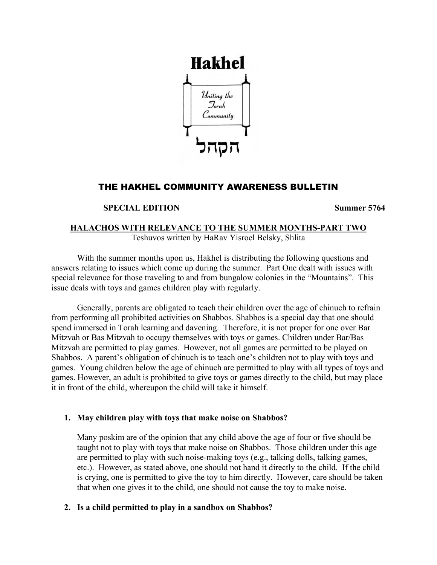

# THE HAKHEL COMMUNITY AWARENESS BULLETIN

# **SPECIAL EDITION** Summer 5764

# **HALACHOS WITH RELEVANCE TO THE SUMMER MONTHS-PART TWO** Teshuvos written by HaRav Yisroel Belsky, Shlita

With the summer months upon us, Hakhel is distributing the following questions and answers relating to issues which come up during the summer. Part One dealt with issues with special relevance for those traveling to and from bungalow colonies in the "Mountains". This issue deals with toys and games children play with regularly.

Generally, parents are obligated to teach their children over the age of chinuch to refrain from performing all prohibited activities on Shabbos. Shabbos is a special day that one should spend immersed in Torah learning and davening. Therefore, it is not proper for one over Bar Mitzvah or Bas Mitzvah to occupy themselves with toys or games. Children under Bar/Bas Mitzvah are permitted to play games. However, not all games are permitted to be played on Shabbos. A parent's obligation of chinuch is to teach one's children not to play with toys and games. Young children below the age of chinuch are permitted to play with all types of toys and games. However, an adult is prohibited to give toys or games directly to the child, but may place it in front of the child, whereupon the child will take it himself.

# **1. May children play with toys that make noise on Shabbos?**

Many poskim are of the opinion that any child above the age of four or five should be taught not to play with toys that make noise on Shabbos. Those children under this age are permitted to play with such noise-making toys (e.g., talking dolls, talking games, etc.). However, as stated above, one should not hand it directly to the child. If the child is crying, one is permitted to give the toy to him directly. However, care should be taken that when one gives it to the child, one should not cause the toy to make noise.

# **2. Is a child permitted to play in a sandbox on Shabbos?**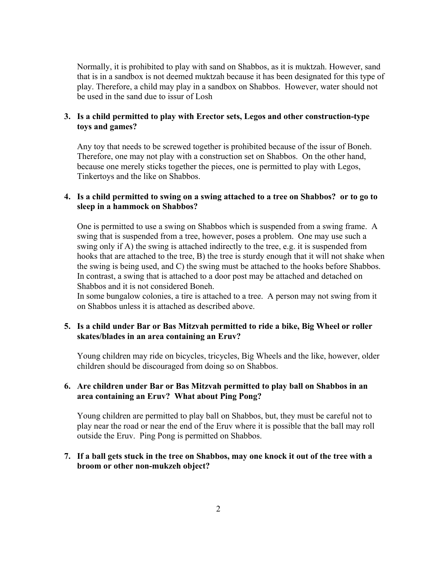Normally, it is prohibited to play with sand on Shabbos, as it is muktzah. However, sand that is in a sandbox is not deemed muktzah because it has been designated for this type of play. Therefore, a child may play in a sandbox on Shabbos. However, water should not be used in the sand due to issur of Losh

### **3. Is a child permitted to play with Erector sets, Legos and other construction-type toys and games?**

Any toy that needs to be screwed together is prohibited because of the issur of Boneh. Therefore, one may not play with a construction set on Shabbos. On the other hand, because one merely sticks together the pieces, one is permitted to play with Legos, Tinkertoys and the like on Shabbos.

# **4. Is a child permitted to swing on a swing attached to a tree on Shabbos? or to go to sleep in a hammock on Shabbos?**

One is permitted to use a swing on Shabbos which is suspended from a swing frame. A swing that is suspended from a tree, however, poses a problem. One may use such a swing only if A) the swing is attached indirectly to the tree, e.g. it is suspended from hooks that are attached to the tree, B) the tree is sturdy enough that it will not shake when the swing is being used, and C) the swing must be attached to the hooks before Shabbos. In contrast, a swing that is attached to a door post may be attached and detached on Shabbos and it is not considered Boneh.

In some bungalow colonies, a tire is attached to a tree. A person may not swing from it on Shabbos unless it is attached as described above.

# **5. Is a child under Bar or Bas Mitzvah permitted to ride a bike, Big Wheel or roller skates/blades in an area containing an Eruv?**

Young children may ride on bicycles, tricycles, Big Wheels and the like, however, older children should be discouraged from doing so on Shabbos.

### **6. Are children under Bar or Bas Mitzvah permitted to play ball on Shabbos in an area containing an Eruv? What about Ping Pong?**

Young children are permitted to play ball on Shabbos, but, they must be careful not to play near the road or near the end of the Eruv where it is possible that the ball may roll outside the Eruv. Ping Pong is permitted on Shabbos.

### **7. If a ball gets stuck in the tree on Shabbos, may one knock it out of the tree with a broom or other non-mukzeh object?**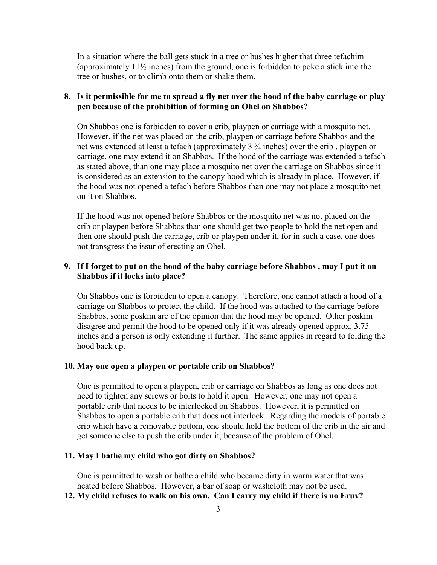In a situation where the ball gets stuck in a tree or bushes higher that three tefachim (approximately 11½ inches) from the ground, one is forbidden to poke a stick into the tree or bushes, or to climb onto them or shake them.

### **8. Is it permissible for me to spread a fly net over the hood of the baby carriage or play pen because of the prohibition of forming an Ohel on Shabbos?**

On Shabbos one is forbidden to cover a crib, playpen or carriage with a mosquito net. However, if the net was placed on the crib, playpen or carriage before Shabbos and the net was extended at least a tefach (approximately 3 ¾ inches) over the crib , playpen or carriage, one may extend it on Shabbos. If the hood of the carriage was extended a tefach as stated above, than one may place a mosquito net over the carriage on Shabbos since it is considered as an extension to the canopy hood which is already in place. However, if the hood was not opened a tefach before Shabbos than one may not place a mosquito net on it on Shabbos.

If the hood was not opened before Shabbos or the mosquito net was not placed on the crib or playpen before Shabbos than one should get two people to hold the net open and then one should push the carriage, crib or playpen under it, for in such a case, one does not transgress the issur of erecting an Ohel.

### **9. If I forget to put on the hood of the baby carriage before Shabbos , may I put it on Shabbos if it locks into place?**

On Shabbos one is forbidden to open a canopy. Therefore, one cannot attach a hood of a carriage on Shabbos to protect the child. If the hood was attached to the carriage before Shabbos, some poskim are of the opinion that the hood may be opened. Other poskim disagree and permit the hood to be opened only if it was already opened approx. 3.75 inches and a person is only extending it further. The same applies in regard to folding the hood back up.

#### **10. May one open a playpen or portable crib on Shabbos?**

One is permitted to open a playpen, crib or carriage on Shabbos as long as one does not need to tighten any screws or bolts to hold it open. However, one may not open a portable crib that needs to be interlocked on Shabbos. However, it is permitted on Shabbos to open a portable crib that does not interlock. Regarding the models of portable crib which have a removable bottom, one should hold the bottom of the crib in the air and get someone else to push the crib under it, because of the problem of Ohel.

#### **11. May I bathe my child who got dirty on Shabbos?**

One is permitted to wash or bathe a child who became dirty in warm water that was heated before Shabbos. However, a bar of soap or washcloth may not be used.

**12. My child refuses to walk on his own. Can I carry my child if there is no Eruv?**